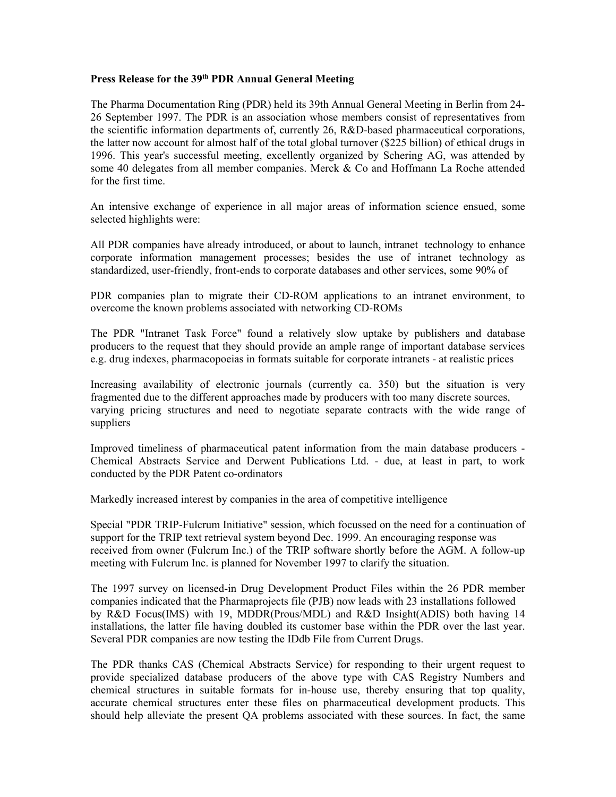## **Press Release for the 39th PDR Annual General Meeting**

The Pharma Documentation Ring (PDR) held its 39th Annual General Meeting in Berlin from 24- 26 September 1997. The PDR is an association whose members consist of representatives from the scientific information departments of, currently 26, R&D-based pharmaceutical corporations, the latter now account for almost half of the total global turnover (\$225 billion) of ethical drugs in 1996. This year's successful meeting, excellently organized by Schering AG, was attended by some 40 delegates from all member companies. Merck & Co and Hoffmann La Roche attended for the first time.

An intensive exchange of experience in all major areas of information science ensued, some selected highlights were:

All PDR companies have already introduced, or about to launch, intranet technology to enhance corporate information management processes; besides the use of intranet technology as standardized, user-friendly, front-ends to corporate databases and other services, some 90% of

PDR companies plan to migrate their CD-ROM applications to an intranet environment, to overcome the known problems associated with networking CD-ROMs

The PDR "Intranet Task Force" found a relatively slow uptake by publishers and database producers to the request that they should provide an ample range of important database services e.g. drug indexes, pharmacopoeias in formats suitable for corporate intranets - at realistic prices

Increasing availability of electronic journals (currently ca. 350) but the situation is very fragmented due to the different approaches made by producers with too many discrete sources, varying pricing structures and need to negotiate separate contracts with the wide range of suppliers

Improved timeliness of pharmaceutical patent information from the main database producers - Chemical Abstracts Service and Derwent Publications Ltd. - due, at least in part, to work conducted by the PDR Patent co-ordinators

Markedly increased interest by companies in the area of competitive intelligence

Special "PDR TRIP-Fulcrum Initiative" session, which focussed on the need for a continuation of support for the TRIP text retrieval system beyond Dec. 1999. An encouraging response was received from owner (Fulcrum Inc.) of the TRIP software shortly before the AGM. A follow-up meeting with Fulcrum Inc. is planned for November 1997 to clarify the situation.

The 1997 survey on licensed-in Drug Development Product Files within the 26 PDR member companies indicated that the Pharmaprojects file (PJB) now leads with 23 installations followed by R&D Focus(IMS) with 19, MDDR(Prous/MDL) and R&D Insight(ADIS) both having 14 installations, the latter file having doubled its customer base within the PDR over the last year. Several PDR companies are now testing the IDdb File from Current Drugs.

The PDR thanks CAS (Chemical Abstracts Service) for responding to their urgent request to provide specialized database producers of the above type with CAS Registry Numbers and chemical structures in suitable formats for in-house use, thereby ensuring that top quality, accurate chemical structures enter these files on pharmaceutical development products. This should help alleviate the present QA problems associated with these sources. In fact, the same